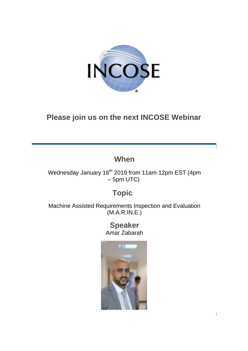

# **Please join us on the next INCOSE Webinar**

## **When**

Wednesday January 16<sup>th</sup> 2019 from 11am-12pm EST (4pm – 5pm UTC)

### **Topic**

Machine Assisted Requirements Inspection and Evaluation (M.A.R.IN.E.)

#### **Speaker** Amar Zabarah

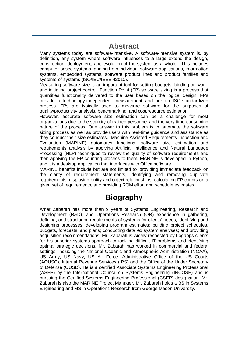#### **Abstract**

Many systems today are software-intensive. A software-intensive system is, by definition, any system where software influences to a large extend the design, construction, deployment, and evolution of the system as a whole . This includes computer-based systems ranging from individual software applications, information systems, embedded systems, software product lines and product families and systems-of-systems (ISO/IEC/IEEE 42010).

Measuring software size is an important tool for setting budgets, bidding on work, and initiating project control. Function Point (FP) software sizing is a process that quantifies functionality delivered to the user based on the logical design. FPs provide a technology-independent measurement and are an ISO-standardized process. FPs are typically used to measure software for the purposes of quality/productivity analysis, benchmarking, and cost/resource estimation.

However, accurate software size estimation can be a challenge for most organizations due to the scarcity of trained personnel and the very time-consuming nature of the process. One answer to this problem is to automate the software sizing process as well as provide users with real-time guidance and assistance as they conduct their size estimates. Machine Assisted Requirements Inspection and Evaluation (MARINE) automates functional software size estimation and requirements analysis by applying Artificial Intelligence and Natural Language Processing (NLP) techniques to review the quality of software requirements and then applying the FP counting process to them. MARINE is developed in Python, and it is a desktop application that interfaces with Office software.

MARINE benefits include but are not limited to: providing immediate feedback on the clarity of requirement statements, identifying and removing duplicate requirements, displaying entity and object relationships, calculating FP counts on a given set of requirements, and providing ROM effort and schedule estimates.

### **Biography**

Amar Zabarah has more than 9 years of Systems Engineering, Research and Development (R&D), and Operations Research (OR) experience in gathering, defining, and structuring requirements of systems for clients' needs; identifying and designing processes; developing program estimates; building project schedules, budgets, forecasts, and plans; conducting detailed system analyses; and providing acquisition recommendations. Mr. Zabarah is widely respected by Logapps clients for his superior systems approach to tackling difficult IT problems and identifying optimal strategic decisions. Mr. Zabarah has worked in commercial and federal settings, including the National Oceanic and Atmospheric Administration (NOAA), US Army, US Navy, US Air Force, Administrative Office of the US Courts (AOUSC), Internal Revenue Services (IRS) and the Office of the Under Secretary of Defense (OUSD). He is a certified Associate Systems Engineering Professional (ASEP) by the International Council on Systems Engineering (INCOSE) and is pursuing the Certified Systems Engineering Professional (CSEP) designation. Mr. Zabarah is also the MARINE Project Manager. Mr. Zabarah holds a BS in Systems Engineering and MS in Operations Research from George Mason University.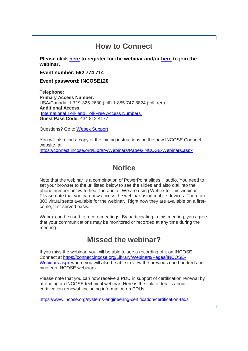### **How to Connect**

**Please click [here](https://incoseevents.webex.com/incoseevents/onstage/g.php?MTID=ee4a2cfed23a765bb85383e5add7f2e3d) to register for the webinar and/or [here](https://incoseevents.webex.com/incoseevents/onstage/g.php?MTID=ed11ea2463def9271e4de4c7ced64312a) to join the webinar.**

**Event number: 592 774 714**

**Event password: INCOSE120**

**Telephone: Primary Access Number:** USA/Canada: 1-719-325-2630 (toll) 1-855-747-8824 (toll free) **Additional Access:** International Toll- [and Toll-Free Access Numbers](https://www.myrcplus.com/cnums.asp?bwebid=8369444&ppc=4348124177&num=18557478824&num2=17193252630) **Guest Pass Code:** 434 812 4177

Questions? Go to [Webex Support](https://www.webex.com/faqs.html)

You will also find a copy of the joining instructions on the new INCOSE Connect website, at <https://connect.incose.org/Library/Webinars/Pages/INCOSE-Webinars.aspx>

## **Notice**

Note that the webinar is a combination of PowerPoint slides + audio. You need to set your browser to the url listed below to see the slides and also dial into the phone number below to hear the audio. We are using Webex for this webinar. Please note that you can now access the webinar using mobile devices. There are 300 virtual seats available for the webinar. Right now they are available on a firstcome, first-served basis.

Webex can be used to record meetings. By participating in this meeting, you agree that your communications may be monitored or recorded at any time during the meeting.

### **Missed the webinar?**

If you miss the webinar, you will be able to see a recording of it on INCOSE Connect at [https://connect.incose.org/Library/Webinars/Pages/INCOSE-](https://connect.incose.org/Library/Webinars/Pages/INCOSE-Webinars.aspx)[Webinars.aspx](https://connect.incose.org/Library/Webinars/Pages/INCOSE-Webinars.aspx) where you will also be able to view the previous one hundred and nineteen INCOSE webinars.

Please note that you can now receive a PDU in support of certification renewal by attending an INCOSE technical webinar. Here is the link to details about certification renewal, including information on PDUs.

<https://www.incose.org/systems-engineering-certification/certification-faqs>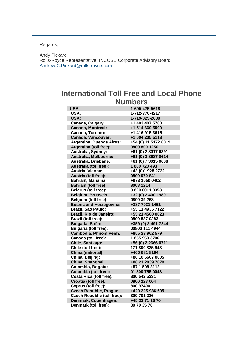Regards,

Andy Pickard Rolls-Royce Representative, INCOSE Corporate Advisory Board, [Andrew.C.Pickard@rolls-royce.com](mailto:Andrew.C.Pickard@rolls-royce.com)

### **International Toll Free and Local Phone Numbers**

| <b>USA:</b>                        | 1-605-475-5618       |
|------------------------------------|----------------------|
| <b>USA:</b>                        | 1-712-770-4217       |
| <b>USA:</b>                        | 1-719-325-2630       |
| Canada, Calgary:                   | +1 403 407 5780      |
| <b>Canada, Montreal:</b>           | +1 514 669 5909      |
| Canada, Toronto:                   | +1 416 915 3615      |
| <b>Canada, Vancouver:</b>          | +1 604 205 5118      |
| <b>Argentina, Buenos Aires:</b>    | +54 (0) 11 5172 6019 |
| Argentina (toll free):             | 0800 800 1250        |
| Australia, Sydney:                 | +61 (0) 2 8017 6391  |
| Australia, Melbourne:              | +61 (0) 3 8687 0614  |
| Australia, Brisbane:               | +61 (0) 7 3015 0608  |
| Australia (toll free):             | 1800 720 493         |
| Austria, Vienna:                   | +43 (0)1 928 2722    |
| Austria (toll free):               | 0800 070 841         |
| <b>Bahrain, Manama:</b>            | +973 1650 0402       |
| <b>Bahrain (toll free):</b>        | 8008 1214            |
| <b>Belarus (toll free):</b>        | 882000110353         |
| Belgium, Brussels:                 | +32 (0) 2 400 1980   |
| <b>Belgium (toll free):</b>        | 0800 39 268          |
| <b>Bosnia and Herzegovina:</b>     | +387 7031 1461       |
| <b>Brazil, Sao Paulo:</b>          | +55 11 4935 7122     |
| Brazil, Rio de Janeiro:            | +55 21 4560 0023     |
| Brazil (toll free):                | 0800 887 0283        |
| <b>Bulgaria, Sofia:</b>            | +359 (0) 2 491 7244  |
| <b>Bulgaria (toll free):</b>       | 00800 111 4944       |
| <b>Cambodia, Phnom Penh:</b>       | +855 23 962 579      |
| Canada (toll free):                | 18559503706          |
| Chile, Santiago:                   | +56 (0) 2 2666 0711  |
| Chile (toll free):                 | 171 800 835 943      |
| China (national):                  | +400 681 8104        |
| China, Beijing:                    | +86 10 5667 0005     |
| China, Shanghai:                   | +86 21 2039 7079     |
| Colombia, Bogota:                  | +57 1 508 8112       |
| <b>Colombia (toll free):</b>       | 01 800 755 0043      |
| <b>Costa Rica (toll free):</b>     | 800 542 5331         |
| Croatia (toll free):               | 0800 223 004         |
| Cyprus (toll free):                | 800 97400            |
| <b>Czech Republic, Prague:</b>     | +420 225 986 505     |
| <b>Czech Republic (toll free):</b> | 800 701 236          |
| Denmark, Copenhagen:               | +45 32 71 16 70      |
| Denmark (toll free):               | 80 70 35 78          |
|                                    |                      |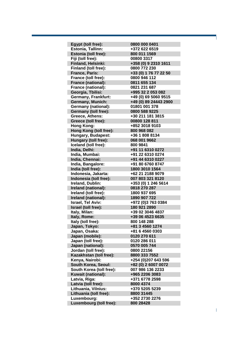| Egypt (toll free):         | 0800 000 0401         |
|----------------------------|-----------------------|
| Estonia, Tallinn:          | +372 622 6519         |
| Estonia (toll free):       | 800 011 1569          |
| Fiji (toll free):          | 00800 3317            |
| Finland, Helsinki:         | +358 (0) 9 2310 1611  |
| Finland (toll free):       | 0800 772 230          |
| <b>France, Paris:</b>      | +33 (0) 1 76 77 22 50 |
| France (toll free):        | 0800 946 112          |
| France (national):         | 0811 655 134          |
| <b>France (national):</b>  | 0821 231 687          |
| Georgia, Tbilisi:          | +995 32 2 053 082     |
| <b>Germany, Frankfurt:</b> | +49 (0) 69 5060 9515  |
| <b>Germany, Munich:</b>    | +49 (0) 89 24443 2900 |
| <b>Germany (national):</b> | 01801 001 378         |
| Germany (toll free):       | 0800 588 9225         |
| Greece, Athens:            | +30 211 181 3815      |
| Greece (toll free):        | 00800 128 811         |
| <b>Hong Kong:</b>          | +852 3018 9103        |
| Hong Kong (toll free):     | 800 968 082           |
| Hungary, Budapest:         | +36 1 808 8134        |
| Hungary (toll free):       | 068 001 9662          |
| Iceland (toll free):       | 800 9841              |
| India, Delhi:              | +91 11 6310 0272      |
| India, Mumbai:             | +91 22 6310 0274      |
| India, Chennai:            | +91 44 6310 0227      |
| India, Bangalore:          | +91 80 6760 8747      |
| India (toll free):         | 1800 3010 1564        |
| Indonesia, Jakarta:        | +62 21 2188 9079      |
| Indonesia (toll free):     | 007 803 321 8120      |
| Ireland, Dublin:           | +353 (0) 1 246 5614   |
| Ireland (national):        | 0818 270 287          |
| Ireland (toll free):       | 1800 937 695          |
| Ireland (national):        | 1890 907 722          |
| <b>Israel, Tel Aviv:</b>   | +972 (0)3 763 0384    |
| Israel (toll free):        | 180 921 2890          |
| Italy, Milan:              | +39 02 3046 4837      |
| Italy, Rome:               | +39 06 4523 6635      |
| Italy (toll free):         | 800 148 288           |
| Japan, Tokyo:              | +81 3 4560 1274       |
| Japan, Osaka:              | +81 6 4560 0303       |
| Japan (mobile):            | 0120 270 611          |
| Japan (toll free):         | 0120 286 011          |
| Japan (national):          | 0570 005 744          |
| Jordan (toll free):        | 0800 22156            |
| Kazakhstan (toll free):    | 8800 333 7552         |
| Kenya, Nairobi:            | +254 (0)207 643 596   |
| South Korea, Seoul:        | +82 (0) 2 6007 0072   |
| South Korea (toll free):   | 007 986 136 2233      |
| Kuwait (national):         | +965 2206 3083        |
| Latvia, Riga:              | +371 6778 2598        |
| Latvia (toll free):        | 8000 4374             |
| Lithuania, Vilnius:        | +370 5205 5239        |
| Lithuania (toll free):     | 8800 31445            |
| Luxembourg:                | +352 2730 2276        |
| Luxembourg (toll free):    | 800 28428             |
|                            |                       |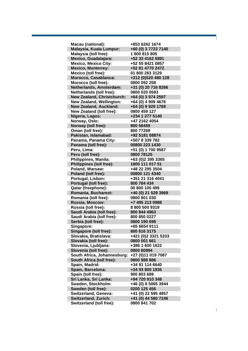| <b>Macau (national):</b>          | +853 6262 1674      |
|-----------------------------------|---------------------|
| Malaysia, Kuala Lumpur:           | +60 (0) 3 7723 7140 |
| Malaysia (toll free):             | 1800815805          |
| Mexico, Guadalajara:              | +52 33 4162 5891    |
| <b>Mexico, Mexico City:</b>       | +52 55 8421 0857    |
| <b>Mexico, Monterrey:</b>         | +52 81 4770 2472    |
| Mexico (toll free):               | 01 800 283 3129     |
| Morocco, Casablanca:              | +212 (0)520 480 128 |
| Morocco (toll free):              | 0800 092 258        |
| Netherlands, Amsterdam:           | +31 (0) 20 716 8266 |
| Netherlands (toll free):          | 0800 020 0593       |
| <b>New Zealand, Christchurch:</b> | +64 (0) 3 974 2597  |
| <b>New Zealand, Wellington:</b>   | +64 (0) 4 909 4676  |
| <b>New Zealand, Auckland:</b>     | +64 (0) 9 929 1769  |
| <b>New Zealand (toll free):</b>   | 0800 459 127        |
| Nigeria, Lagos:                   | +234 1 277 5140     |
| Norway, Oslo:                     | +47 2162 4054       |
| Norway (toll free):               | 800 58459           |
| Oman (toll free):                 | 800 77269           |
| Pakistan, Islamabad:              | +92 5181 08874      |
| Panama, Panama City:              | +507 8 339 782      |
| Panama (toll free):               | 00800 223 1430      |
| Peru, Lima:                       | +51 (0) 1 700 9587  |
|                                   | 0800 78125          |
| Peru (toll free):                 |                     |
| Philippines, Manila:              | +63 (0)2 395 3365   |
| <b>Philippines (toll free):</b>   | 1800 111 017 51     |
| Poland, Warsaw:                   | +48 22 295 3504     |
| Poland (toll free):               | 00800 121 4340      |
| Portugal, Lisbon:                 | +351 21 316 4041    |
| Portugal (toll free):             | 800 784 434         |
| Qatar (freephone):                | 00 800 100 499      |
| Romania, Bucharest:               | +40 (0) 21 529 3969 |
| Romania (toll free):              | 0800 801 030        |
| Russia, Moscow:                   | +7 495 213 0988     |
| Russia (toll free):               | 88005009319         |
| Saudi Arabia (toll free):         | 800 844 4963        |
| Saudi Arabia (toll free):         | 800 850 0227        |
| Serbia (toll free):               | 0800 190 698        |
| Singapore:                        | +65 6654 9111       |
| Singapore (toll free):            | 800 616 3175        |
| Slovakia, Bratislava:             | +421 (0)2 3321 5333 |
| Slovakia (toll free):             | 0800 001 661        |
| Slovenia, Ljubljana:              | +386 1 600 1622     |
| Slovenia (toll free):             | 0800 80994          |
| South Africa, Johannesburg:       | +27 (0)11 019 7087  |
| South Africa (toll free):         | 0800 988 886        |
| Spain, Madrid:                    | +34 91 114 6640     |
| Spain, Barcelona:                 | +34 93 800 1935     |
| Spain (toll free):                | 900 803 689         |
| Sri Lanka, Sri Lanka:             | +94 720 910 348     |
| Sweden, Stockholm:                | +46 (0) 8 5065 3944 |
| Sweden (toll free):               | 0200 125 456        |
| Switzerland, Geneva:              | +41 (0) 22 595 4857 |
| Switzerland, Zurich:              | +41 (0) 44 580 7246 |
| Switzerland (toll free):          | 0800 841 702        |